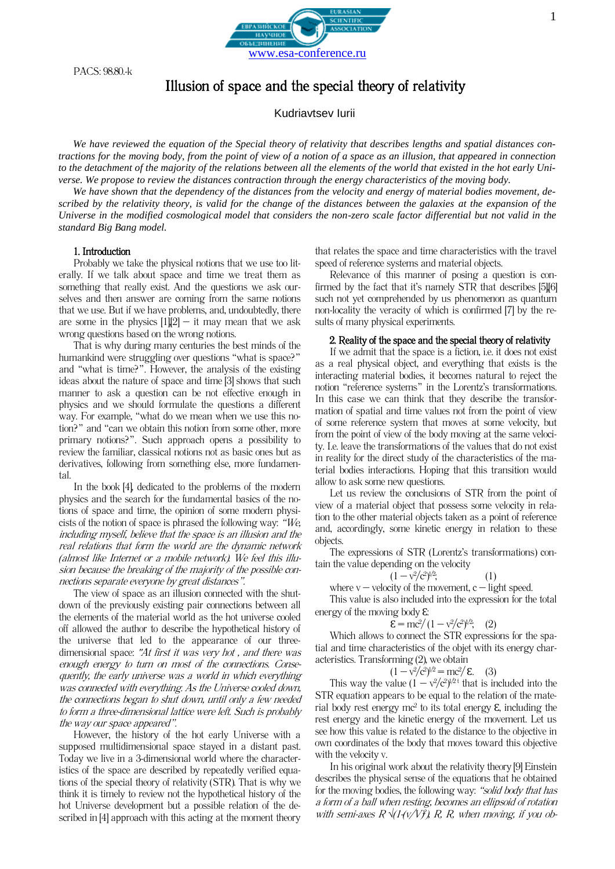PACS: 98.80.-k



Kudriavtsev Iurii

*We have reviewed the equation of the Special theory of relativity that describes lengths and spatial distances contractions for the moving body, from the point of view of a notion of a space as an illusion, that appeared in connection to the detachment of the majority of the relations between all the elements of the world that existed in the hot early Universe. We propose to review the distances contraction through the energy characteristics of the moving body.*

*We have shown that the dependency of the distances from the velocity and energy of material bodies movement, described by the relativity theory, is valid for the change of the distances between the galaxies at the expansion of the Universe in the modified cosmological model that considers the non-zero scale factor differential but not valid in the standard Big Bang model.*

#### 1. Introduction

Probably we take the physical notions that we use too literally. If we talk about space and time we treat them as something that really exist. And the questions we ask ourselves and then answer are coming from the same notions that we use. But if we have problems, and, undoubtedly, there are some in the physics  $[1][2]$  – it may mean that we ask wrong questions based on the wrong notions.

That is why during many centuries the best minds of the humankind were struggling over questions "what is space?" and "what is time?". However, the analysis of the existing ideas about the nature of space and time [3] shows that such manner to ask a question can be not effective enough in physics and we should formulate the questions a different way. For example, "what do we mean when we use this notion?" and "can we obtain this notion from some other, more primary notions?". Such approach opens a possibility to review the familiar, classical notions not as basic ones but as derivatives, following from something else, more fundamental.

In the book [4], dedicated to the problems of the modern physics and the search for the fundamental basics of the notions of space and time, the opinion of some modern physicists of the notion of space is phrased the following way: "We, including myself, believe that the space is an illusion and the real relations that form the world are the dynamic network (almost like Internet or a mobile network). We feel this illusion because the breaking of the majority of the possible connections separate everyone by great distances".

The view of space as an illusion connected with the shutdown of the previously existing pair connections between all the elements of the material world as the hot universe cooled off allowed the author to describe the hypothetical history of the universe that led to the appearance of our threedimensional space: "At first it was very hot , and there was enough energy to turn on most of the connections. Consequently, the early universe was a world in which everything was connected with everything. As the Universe cooled down, the connections began to shut down, until only a few needed to form a three-dimensional lattice were left. Such is probably the way our space appeared".

However, the history of the hot early Universe with a supposed multidimensional space stayed in a distant past. Today we live in a 3-dimensional world where the characteristics of the space are described by repeatedly verified equations of the special theory of relativity (STR). That is why we think it is timely to review not the hypothetical history of the hot Universe development but a possible relation of the described in [4] approach with this acting at the moment theory

that relates the space and time characteristics with the travel speed of reference systems and material objects.

Relevance of this manner of posing a question is confirmed by the fact that it's namely STR that describes [5][6] such not yet comprehended by us phenomenon as quantum non-locality the veracity of which is confirmed [7] by the results of many physical experiments.

#### 2. Reality of the space and the special theory of relativity

If we admit that the space is a fiction, i.e. it does not exist as a real physical object, and everything that exists is the interacting material bodies, it becomes natural to reject the notion "reference systems" in the Lorentz's transformations. In this case we can think that they describe the transformation of spatial and time values not from the point of view of some reference system that moves at some velocity, but from the point of view of the body moving at the same velocity. I.e. leave the transformations of the values that do not exist in reality for the direct study of the characteristics of the material bodies interactions. Hoping that this transition would allow to ask some new questions.

Let us review the conclusions of STR from the point of view of a material object that possess some velocity in relation to the other material objects taken as a point of reference and, accordingly, some kinetic energy in relation to these objects.

The expressions of STR (Lorentz's transformations) contain the value depending on the velocity

$$
(1 - v^2/c^2)^{1/2}, \t\t(1)
$$

where  $v -$  velocity of the movement,  $c -$  light speed.

This value is also included into the expression for the total energy of the moving body  $\epsilon$ :

$$
\mathcal{E} = mc^2/(1 - v^2/c^2)^{1/2}, \quad (2)
$$

Which allows to connect the STR expressions for the spatial and time characteristics of the objet with its energy characteristics. Transforming (2), we obtain

$$
(1 - v^2/c^2)^{1/2} = mc^2/E. \quad (3)
$$

This way the value  $(1 - v^2/c^2)^{1/2}$  that is included into the STR equation appears to be equal to the relation of the material body rest energy  $mc^2$  to its total energy  $\varepsilon$ , including the rest energy and the kinetic energy of the movement. Let us see how this value is related to the distance to the objective in own coordinates of the body that moves toward this objective with the velocity v.

In his original work about the relativity theory [9] Einstein describes the physical sense of the equations that he obtained for the moving bodies, the following way: "solid body that has a form of a ball when resting, becomes an ellipsoid of rotation with semi-axes  $R \sqrt{1 - (v/V)}$ , R, R, when moving, if you ob-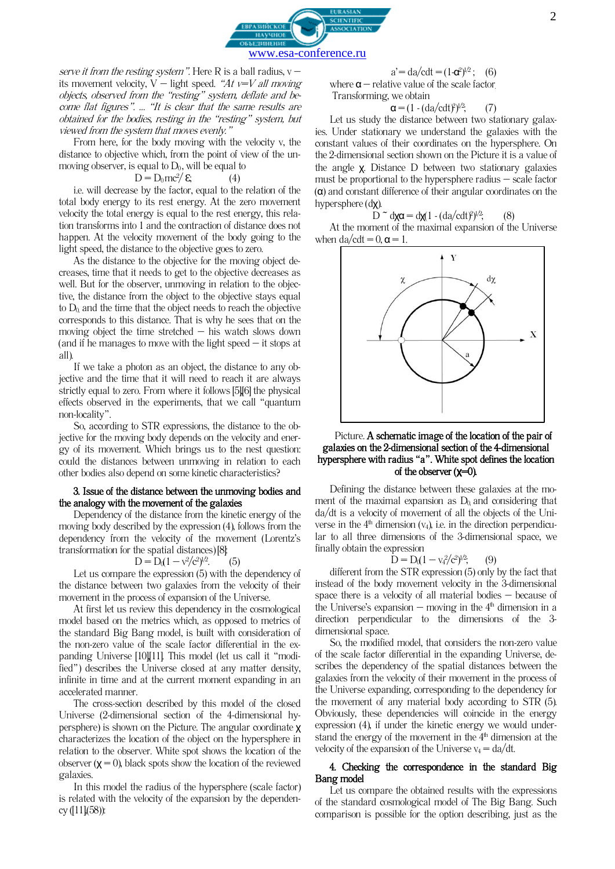

serve it from the resting system". Here R is a ball radius,  $v$ its movement velocity, V – light speed. "At  $v=V$  all moving objects, observed from the "resting" system, deflate and become flat figures". … "It is clear that the same results are obtained for the bodies, resting in the "resting" system, but viewed from the system that moves evenly."

From here, for the body moving with the velocity v, the distance to objective which, from the point of view of the unmoving observer, is equal to  $D_0$ , will be equal to

$$
=D_0mc^2\!/\mathcal{E};\qquad(4)
$$

 $\mathbf D$ 

i.e. will decrease by the factor, equal to the relation of the total body energy to its rest energy. At the zero movement velocity the total energy is equal to the rest energy, this relation transforms into 1 and the contraction of distance does not happen. At the velocity movement of the body going to the light speed, the distance to the objective goes to zero.

As the distance to the objective for the moving object decreases, time that it needs to get to the objective decreases as well. But for the observer, unmoving in relation to the objective, the distance from the object to the objective stays equal to  $D_0$  and the time that the object needs to reach the objective corresponds to this distance. That is why he sees that on the moving object the time stretched – his watch slows down (and if he manages to move with the light speed  $-$  it stops at all).

If we take a photon as an object, the distance to any objective and the time that it will need to reach it are always strictly equal to zero. From where it follows [5][6] the physical effects observed in the experiments, that we call "quantum non-locality".

So, according to STR expressions, the distance to the objective for the moving body depends on the velocity and energy of its movement. Which brings us to the nest question: could the distances between unmoving in relation to each other bodies also depend on some kinetic characteristics?

#### 3. Issue of the distance between the unmoving bodies and the analogy with the movement of the galaxies

Dependency of the distance from the kinetic energy of the moving body described by the expression (4), follows from the dependency from the velocity of the movement (Lorentz's transformation for the spatial distances) [8]:

$$
D = D_0(1 - v^2/c^2)^{1/2}.
$$
 (5)

Let us compare the expression (5) with the dependency of the distance between two galaxies from the velocity of their movement in the process of expansion of the Universe.

At first let us review this dependency in the cosmological model based on the metrics which, as opposed to metrics of the standard Big Bang model, is built with consideration of the non-zero value of the scale factor differential in the expanding Universe [10][11]. This model (let us call it "modified") describes the Universe closed at any matter density, infinite in time and at the current moment expanding in an accelerated manner.

The cross-section described by this model of the closed Universe (2-dimensional section of the 4-dimensional hypersphere) is shown on the Picture. The angular coordinate χ characterizes the location of the object on the hypersphere in relation to the observer. White spot shows the location of the observer  $(y = 0)$ , black spots show the location of the reviewed galaxies.

In this model the radius of the hypersphere (scale factor) is related with the velocity of the expansion by the dependency ([11],(58)):

$$
a' = da/cdt = (1 - \alpha^2)^{1/2};
$$
 (6)  
where  $\alpha$  – relative value of the scale factor.  
Transforming, we obtain

$$
\alpha = (1 - (da/cdt)^2)^{1/2}, \qquad (7)
$$

Let us study the distance between two stationary galaxies. Under stationary we understand the galaxies with the constant values of their coordinates on the hypersphere. On the 2-dimensional section shown on the Picture it is a value of the angle χ. Distance D between two stationary galaxies must be proportional to the hypersphere radius – scale factor  $(\alpha)$  and constant difference of their angular coordinates on the hypersphere (dχ).

D  $\tilde{\sim}$  d**χα** = d**χ**(1 - (da/cdt<sup>*'*)<sup>*l*/2</sup>; (8)</sup>

At the moment of the maximal expansion of the Universe when  $da/cdt = 0$ ,  $\alpha = 1$ .



## Picture. A schematic image of the location of the pair of galaxies on the 2-dimensional section of the 4-dimensional hypersphere with radius "a". White spot defines the location of the observer (**χ**=0).

Defining the distance between these galaxies at the moment of the maximal expansion as  $D_0$  and considering that da/dt is a velocity of movement of all the objects of the Universe in the  $4<sup>th</sup>$  dimension ( $v_4$ ), i.e. in the direction perpendicular to all three dimensions of the 3-dimensional space, we finally obtain the expression

$$
\mathbf{D} = \mathbf{D}_0 (1 - \mathbf{v}_4^2 / c^2)^{1/2};\qquad(9)
$$

different from the STR expression (5) only by the fact that instead of the body movement velocity in the 3-dimensional space there is a velocity of all material bodies – because of the Universe's expansion – moving in the  $4<sup>th</sup>$  dimension in a direction perpendicular to the dimensions of the 3 dimensional space.

So, the modified model, that considers the non-zero value of the scale factor differential in the expanding Universe, describes the dependency of the spatial distances between the galaxies from the velocity of their movement in the process of the Universe expanding, corresponding to the dependency for the movement of any material body according to STR (5). Obviously, these dependencies will coincide in the energy expression (4), if under the kinetic energy we would understand the energy of the movement in the  $4<sup>th</sup>$  dimension at the velocity of the expansion of the Universe  $v_4 = da/dt$ .

## 4. Checking the correspondence in the standard Big Bang model

Let us compare the obtained results with the expressions of the standard cosmological model of The Big Bang. Such comparison is possible for the option describing, just as the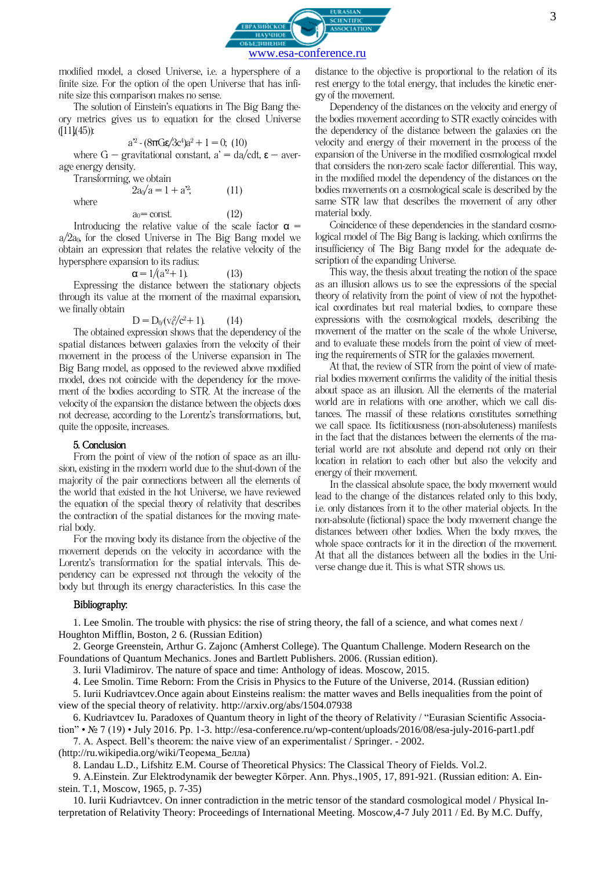

modified model, a closed Universe, i.e. a hypersphere of a finite size. For the option of the open Universe that has infinite size this comparison makes no sense.

The solution of Einstein's equations in The Big Bang theory metrics gives us to equation for the closed Universe  $(11)(45)$ :

$$
a^{2} \cdot (8\pi G \epsilon/3c^{4})a^{2} + 1 = 0; (10)
$$

where  $G -$  gravitational constant,  $a' = da/cdt$ ,  $\varepsilon - a$ verage energy density.

Transforming, we obtain

 $2a\sqrt{a} = 1 + a^2$  $(11)$ 

where

### $a_0$  = const. (12)

Introducing the relative value of the scale factor  $\alpha =$  $a/2a_0$ , for the closed Universe in The Big Bang model we obtain an expression that relates the relative velocity of the hypersphere expansion to its radius:

$$
\mathbf{a} = 1/(a^2 + 1). \tag{13}
$$

Expressing the distance between the stationary objects through its value at the moment of the maximal expansion, we finally obtain

$$
D = D_0(v_4^2/c^2 + 1)
$$
 (14)

The obtained expression shows that the dependency of the spatial distances between galaxies from the velocity of their movement in the process of the Universe expansion in The Big Bang model, as opposed to the reviewed above modified model, does not coincide with the dependency for the movement of the bodies according to STR. At the increase of the velocity of the expansion the distance between the objects does not decrease, according to the Lorentz's transformations, but, quite the opposite, increases.

### 5. Conclusion

From the point of view of the notion of space as an illusion, existing in the modern world due to the shut-down of the majority of the pair connections between all the elements of the world that existed in the hot Universe, we have reviewed the equation of the special theory of relativity that describes the contraction of the spatial distances for the moving material body.

For the moving body its distance from the objective of the movement depends on the velocity in accordance with the Lorentz's transformation for the spatial intervals. This dependency can be expressed not through the velocity of the body but through its energy characteristics. In this case the

# distance to the objective is proportional to the relation of its rest energy to the total energy, that includes the kinetic energy of the movement. Dependency of the distances on the velocity and energy of

the bodies movement according to STR exactly coincides with the dependency of the distance between the galaxies on the velocity and energy of their movement in the process of the expansion of the Universe in the modified cosmological model that considers the non-zero scale factor differential. This way, in the modified model the dependency of the distances on the bodies movements on a cosmological scale is described by the same STR law that describes the movement of any other material body.

Coincidence of these dependencies in the standard cosmological model of The Big Bang is lacking, which confirms the insufficiency of The Big Bang model for the adequate description of the expanding Universe.

This way, the thesis about treating the notion of the space as an illusion allows us to see the expressions of the special theory of relativity from the point of view of not the hypothetical coordinates but real material bodies, to compare these expressions with the cosmological models, describing the movement of the matter on the scale of the whole Universe, and to evaluate these models from the point of view of meeting the requirements of STR for the galaxies movement.

At that, the review of STR from the point of view of material bodies movement confirms the validity of the initial thesis about space as an illusion. All the elements of the material world are in relations with one another, which we call distances. The massif of these relations constitutes something we call space. Its [fictitiousness](https://www.multitran.ru/c/m.exe?t=7463046_1_2&s1=%F4%E8%EA%F2%E8%E2%ED%EE%F1%F2%FC) (non-absoluteness) manifests in the fact that the distances between the elements of the material world are not absolute and depend not only on their location in relation to each other but also the velocity and energy of their movement.

In the classical absolute space, the body movement would lead to the change of the distances related only to this body, i.e. only distances from it to the other material objects. In the non-absolute (fictional) space the body movement change the distances between other bodies. When the body moves, the whole space contracts for it in the direction of the movement. At that all the distances between all the bodies in the Universe change due it. This is what STR shows us.

# Bibliography:

1. Lee Smolin. The trouble with physics: the rise of string theory, the fall of a science, and what comes next / Houghton Mifflin, Boston, 2 6. (Russian Edition)

2. George Greenstein, Arthur G. Zajonc (Amherst College). The Quantum Challenge. Modern Research on the Foundations of Quantum Mechanics. Jones and Bartlett Publishers. 2006. (Russian edition).

3. Iurii Vladimirov. The nature of space and time: Anthology of ideas. Moscow, 2015.

4. Lee Smolin. Time Reborn: From the Crisis in Physics to the Future of the Universe, 2014. (Russian edition)

5. Iurii Kudriavtcev.Once again about Einsteins realism: the matter waves and Bells inequalities from the point of view of the special theory of relativity. http://arxiv.org/abs/1504.07938

6. Kudriavtcev Iu. Paradoxes of Quantum theory in light of the theory of Relativity / "Eurasian Scientific Association" • № 7 (19) • July 2016. Pp. 1-3. http://esa-conference.ru/wp-content/uploads/2016/08/esa-july-2016-part1.pdf

7. A. Aspect. Bell's theorem: the naive view of an experimentalist / Springer. - 2002.

(http://ru.wikipedia.org/wiki/Теорема\_Белла)

8. Landau L.D., Lifshitz E.M. Course of Theoretical Physics: The Classical Theory of Fields. Vol.2.

9. A.Einstein. Zur Elektrodynamik der bewegter Körper. Ann. Phys.,1905, 17, 891-921. (Russian edition: A. Einstein. T.1, Мoscow, 1965, p. 7-35)

10. Iurii Kudriavtcev. On inner contradiction in the metric tensor of the standard cosmological model / Physical Interpretation of Relativity Theory: Proceedings of International Meeting. Moscow,4-7 July 2011 / Ed. By M.C. Duffy,